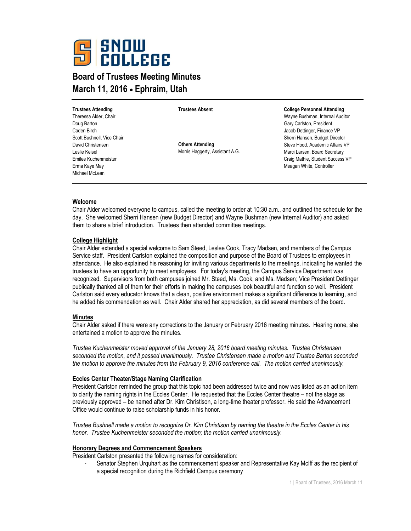

# **Board of Trustees Meeting Minutes March 11, 2016 Ephraim, Utah**

**Trustees Attending** Theressa Alder, Chair Doug Barton Caden Birch Scott Bushnell, Vice Chair David Christensen Leslie Keisel Emilee Kuchenmeister Erma Kaye May Michael McLean

**Trustees Absent**

**Others Attending** Morris Haggerty, Assistant A.G. **College Personnel Attending**

Wayne Bushman, Internal Auditor Gary Carlston, President Jacob Dettinger, Finance VP Sherri Hansen, Budget Director Steve Hood, Academic Affairs VP Marci Larsen, Board Secretary Craig Mathie, Student Success VP Meagan White, Controller

# **Welcome**

Chair Alder welcomed everyone to campus, called the meeting to order at 10:30 a.m., and outlined the schedule for the day. She welcomed Sherri Hansen (new Budget Director) and Wayne Bushman (new Internal Auditor) and asked them to share a brief introduction. Trustees then attended committee meetings.

#### **College Highlight**

Chair Alder extended a special welcome to Sam Steed, Leslee Cook, Tracy Madsen, and members of the Campus Service staff. President Carlston explained the composition and purpose of the Board of Trustees to employees in attendance. He also explained his reasoning for inviting various departments to the meetings, indicating he wanted the trustees to have an opportunity to meet employees. For today's meeting, the Campus Service Department was recognized. Supervisors from both campuses joined Mr. Steed, Ms. Cook, and Ms. Madsen; Vice President Dettinger publically thanked all of them for their efforts in making the campuses look beautiful and function so well. President Carlston said every educator knows that a clean, positive environment makes a significant difference to learning, and he added his commendation as well. Chair Alder shared her appreciation, as did several members of the board.

# **Minutes**

Chair Alder asked if there were any corrections to the January or February 2016 meeting minutes. Hearing none, she entertained a motion to approve the minutes.

*Trustee Kuchenmeister moved approval of the January 28, 2016 board meeting minutes. Trustee Christensen seconded the motion, and it passed unanimously. Trustee Christensen made a motion and Trustee Barton seconded the motion to approve the minutes from the February 9, 2016 conference call. The motion carried unanimously.* 

#### **Eccles Center Theater/Stage Naming Clarification**

President Carlston reminded the group that this topic had been addressed twice and now was listed as an action item to clarify the naming rights in the Eccles Center. He requested that the Eccles Center theatre – not the stage as previously approved – be named after Dr. Kim Christison, a long-time theater professor. He said the Advancement Office would continue to raise scholarship funds in his honor.

*Trustee Bushnell made a motion to recognize Dr. Kim Christison by naming the theatre in the Eccles Center in his honor. Trustee Kuchenmeister seconded the motion; the motion carried unanimously.* 

#### **Honorary Degrees and Commencement Speakers**

President Carlston presented the following names for consideration:

- Senator Stephen Urquhart as the commencement speaker and Representative Kay McIff as the recipient of a special recognition during the Richfield Campus ceremony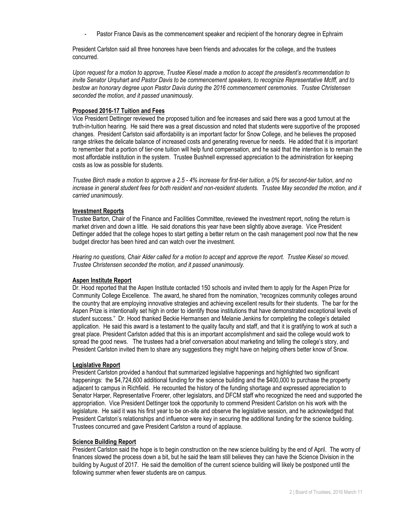Pastor France Davis as the commencement speaker and recipient of the honorary degree in Ephraim

President Carlston said all three honorees have been friends and advocates for the college, and the trustees concurred.

*Upon request for a motion to approve, Trustee Kiesel made a motion to accept the president's recommendation to invite Senator Urquhart and Pastor Davis to be commencement speakers, to recognize Representative McIff, and to bestow an honorary degree upon Pastor Davis during the 2016 commencement ceremonies. Trustee Christensen seconded the motion, and it passed unanimously.* 

# **Proposed 2016-17 Tuition and Fees**

Vice President Dettinger reviewed the proposed tuition and fee increases and said there was a good turnout at the truth-in-tuition hearing. He said there was a great discussion and noted that students were supportive of the proposed changes. President Carlston said affordability is an important factor for Snow College, and he believes the proposed range strikes the delicate balance of increased costs and generating revenue for needs. He added that it is important to remember that a portion of tier-one tuition will help fund compensation, and he said that the intention is to remain the most affordable institution in the system. Trustee Bushnell expressed appreciation to the administration for keeping costs as low as possible for students.

*Trustee Birch made a motion to approve a 2.5 - 4% increase for first-tier tuition, a 0% for second-tier tuition, and no increase in general student fees for both resident and non-resident students. Trustee May seconded the motion, and it carried unanimously.* 

# **Investment Reports**

Trustee Barton, Chair of the Finance and Facilities Committee, reviewed the investment report, noting the return is market driven and down a little. He said donations this year have been slightly above average. Vice President Dettinger added that the college hopes to start getting a better return on the cash management pool now that the new budget director has been hired and can watch over the investment.

*Hearing no questions, Chair Alder called for a motion to accept and approve the report. Trustee Kiesel so moved. Trustee Christensen seconded the motion, and it passed unanimously.* 

# **Aspen Institute Report**

Dr. Hood reported that the Aspen Institute contacted 150 schools and invited them to apply for the Aspen Prize for Community College Excellence. The award, he shared from the nomination, "recognizes community colleges around the country that are employing innovative strategies and achieving excellent results for their students. The bar for the Aspen Prize is intentionally set high in order to identify those institutions that have demonstrated exceptional levels of student success." Dr. Hood thanked Beckie Hermansen and Melanie Jenkins for completing the college's detailed application. He said this award is a testament to the quality faculty and staff, and that it is gratifying to work at such a great place. President Carlston added that this is an important accomplishment and said the college would work to spread the good news. The trustees had a brief conversation about marketing and telling the college's story, and President Carlston invited them to share any suggestions they might have on helping others better know of Snow.

# **Legislative Report**

President Carlston provided a handout that summarized legislative happenings and highlighted two significant happenings: the \$4,724,600 additional funding for the science building and the \$400,000 to purchase the property adjacent to campus in Richfield. He recounted the history of the funding shortage and expressed appreciation to Senator Harper, Representative Froerer, other legislators, and DFCM staff who recognized the need and supported the appropriation. Vice President Dettinger took the opportunity to commend President Carlston on his work with the legislature. He said it was his first year to be on-site and observe the legislative session, and he acknowledged that President Carlston's relationships and influence were key in securing the additional funding for the science building. Trustees concurred and gave President Carlston a round of applause.

# **Science Building Report**

President Carlston said the hope is to begin construction on the new science building by the end of April. The worry of finances slowed the process down a bit, but he said the team still believes they can have the Science Division in the building by August of 2017. He said the demolition of the current science building will likely be postponed until the following summer when fewer students are on campus.